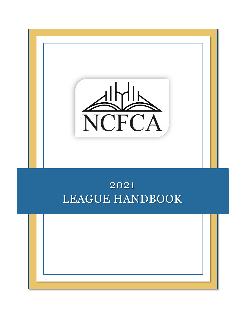

# 2021 LEAGUE HANDBOOK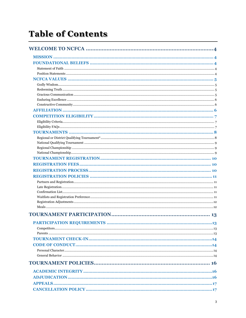# **Table of Contents**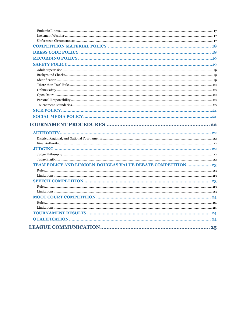|                                                              | 22 |
|--------------------------------------------------------------|----|
|                                                              |    |
|                                                              |    |
|                                                              |    |
|                                                              |    |
|                                                              |    |
|                                                              |    |
|                                                              |    |
| TEAM POLICY AND LINCOLN-DOUGLAS VALUE DEBATE COMPETITION  23 |    |
|                                                              |    |
|                                                              |    |
|                                                              |    |
|                                                              |    |
|                                                              |    |
|                                                              |    |
|                                                              |    |
|                                                              |    |
|                                                              |    |
|                                                              |    |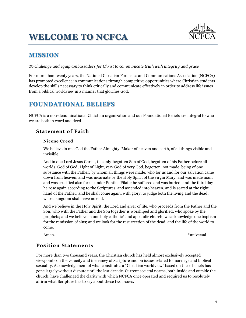# <span id="page-5-0"></span>**WELCOME TO NCFCA**



# <span id="page-5-1"></span>**MISSION**

*To challenge and equip ambassadors for Christ to communicate truth with integrity and grace*

For more than twenty years, the National Christian Forensics and Communications Association (NCFCA) has promoted excellence in communications through competitive opportunities where Christian students develop the skills necessary to think critically and communicate effectively in order to address life issues from a biblical worldview in a manner that glorifies God.

## <span id="page-5-2"></span>**FOUNDATIONAL BELIEFS**

NCFCA is a non-denominational Christian organization and our Foundational Beliefs are integral to who we are both in word and deed.

#### <span id="page-5-3"></span>**Statement of Faith**

#### **Nicene Creed**

We believe in one God the Father Almighty, Maker of heaven and earth, of all things visible and invisible.

And in one Lord Jesus Christ, the only-begotten Son of God, begotten of his Father before all worlds, God of God, Light of Light, very God of very God, begotten, not made, being of one substance with the Father; by whom all things were made; who for us and for our salvation came down from heaven, and was incarnate by the Holy Spirit of the virgin Mary, and was made man; and was crucified also for us under Pontius Pilate; he suffered and was buried; and the third day he rose again according to the Scriptures, and ascended into heaven, and is seated at the right hand of the Father; and he shall come again, with glory, to judge both the living and the dead; whose kingdom shall have no end.

And we believe in the Holy Spirit, the Lord and giver of life, who proceeds from the Father and the Son; who with the Father and the Son together is worshiped and glorified; who spoke by the prophets; and we believe in one holy catholic\* and apostolic church; we acknowledge one baptism for the remission of sins; and we look for the resurrection of the dead, and the life of the world to come.

Amen. \*universal

#### <span id="page-5-4"></span>**Position Statements**

For more than two thousand years, the Christian church has held almost exclusively accepted viewpoints on the veracity and inerrancy of Scripture and on issues related to marriage and biblical sexuality. Acknowledgement of what constitutes a "Christian worldview" based on these beliefs has gone largely without dispute until the last decade. Current societal norms, both inside and outside the church, have challenged the clarity with which NCFCA once operated and required us to resolutely affirm what Scripture has to say about these two issues.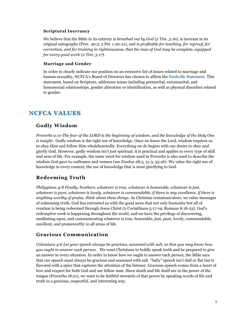#### **Scriptural Inerrancy**

We believe that the Bible in its entirety is *breathed out by God* (*2 Tim. 3:16*), is inerrant in its original autographs (Prov. 30:5; 2 Pet. 1:20-21), and is *profitable for teaching, for reproof, for correction, and for training in righteousness, that the man of God may be complete, equipped for every good work* (*2 Tim. 3:17*).

#### **Marriage and Gender**

In order to clearly indicate our position on an extensive list of issues related to marriage and human sexuality, NCFCA's Board of Directors has chosen to affirm the [Nashville Statement.](https://cbmw.org/nashville-statement) This statement, based on Scripture, addresses issues including premarital, extramarital, and homosexual relationships, gender alteration or identification, as well as physical disorders related to gender.

## <span id="page-6-0"></span>**NCFCA VALUES**

#### <span id="page-6-1"></span>**Godly Wisdom**

*Proverbs 9:10 The fear of the LORD is the beginning of wisdom, and the knowledge of the Holy One is insight.* Godly wisdom is the right use of knowledge. Once we know the Lord, wisdom requires us to obey Him and follow Him wholeheartedly. Everything we do begins with our desire to obey and glorify God. However, godly wisdom isn't just spiritual; it is practical and applies to every type of skill and area of life. For example, the same word for wisdom used in Proverbs is also used to describe the wisdom God gave to craftsmen and women (see Exodus 28:3, 31:3, 35:26). We value the right use of knowledge in every context, the use of knowledge that is most glorifying to God.

## <span id="page-6-2"></span>**Redeeming Truth**

*Philippians 4:8 Finally, brothers, whatever is true, whatever is honorable, whatever is just, whatever is pure, whatever is lovely, whatever is commendable, if there is any excellence, if there is anything worthy of praise, think about these things*. As Christian communicators, we value messages of redeeming truth. God has entrusted us with the good news that not only humanity but all of creation is being redeemed through Jesus Christ (2 Corinthians 5:17-19; Romans 8:18-23). God's redemptive work is happening throughout the world, and we have the privilege of discovering, meditating upon, and communicating whatever is true, honorable, just, pure, lovely, commendable, excellent, and praiseworthy in all areas of life.

## <span id="page-6-3"></span>**Gracious Communication**

*Colossians 4:6 Let your speech always be gracious, seasoned with salt, so that you may know how you ought to answer each person.* We want Christians to boldly speak truth and be prepared to give an answer in every situation. In order to know how we ought to answer each person, the Bible says that our speech must always be gracious and seasoned with salt. "Salty" speech isn't dull or flat but is flavored with a spice that captures the attention of the listener. Gracious speech comes from a heart of love and respect for both God and our fellow man. Since death and life itself are in the power of the tongue (Proverbs 18:21), we want to be faithful stewards of that power by speaking words of life and truth in a gracious, respectful, and interesting way.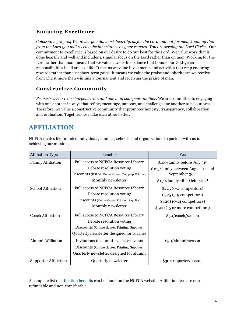## <span id="page-7-0"></span>**Enduring Excellence**

*Colossians 3:23–24 Whatever you do, work heartily, as for the Lord and not for men, knowing that from the Lord you will receive the inheritance as your reward. You are serving the Lord Christ.* Our commitment to excellence is based on our desire to do our best for the Lord. We value work that is done heartily and well and includes a singular focus on the Lord rather than on man. Working for the Lord rather than man means that we value a work-life balance that honors our God-given responsibilities in all areas of life. It means we value investments and activities that reap enduring rewards rather than just short-term gains. It means we value the praise and inheritance we receive from Christ more than winning a tournament and receiving the praise of man.

#### <span id="page-7-1"></span>**Constructive Community**

*Proverbs 27:17 Iron sharpens iron, and one man sharpens another.* We are committed to engaging with one another in ways that refine, encourage, support, and challenge one another to be our best. Therefore, we value a constructive community that promotes honesty, transparency, collaboration, and evaluation. Together, we make each other better.

# <span id="page-7-2"></span>**AFFILIATION**

NCFCA invites like-minded individuals, families, schools, and organizations to partner with us in achieving our mission.

| <b>Affiliation Type</b>      | <b>Benefits</b>                                        | Fee                                 |
|------------------------------|--------------------------------------------------------|-------------------------------------|
| <b>Family Affiliation</b>    | Full access to NCFCA Resource Library                  | \$100/family before July 31st       |
|                              | Debate resolution voting                               | \$125/family between August 1st and |
|                              | Discounts (HSLDA, Online classes, Test prep, Printing) | September 30th                      |
|                              | Monthly newsletter                                     | \$150/family after October 1st      |
| <b>School Affiliation</b>    | Full access to NCFCA Resource Library                  | $$225$ (0-4 competitors)            |
|                              | Debate resolution voting                               | $$325 (5-9$ competitors)            |
|                              | Discounts (Online classes, Printing, Supplies)         | \$425 (10-14 competitors)           |
|                              | Monthly newsletter                                     | \$500 (15 or more competitors)      |
| <b>Coach Affiliation</b>     | Full access to NCFCA Resource Library                  | \$30/coach/season                   |
|                              | Debate resolution voting                               |                                     |
|                              | Discounts (Online classes, Printing, Supplies)         |                                     |
|                              | Quarterly newsletter designed for coaches              |                                     |
| Alumni Affiliation           | Invitations to alumni-exclusive events                 | \$30/alumni/season                  |
|                              | Discounts (Online classes, Printing, Supplies)         |                                     |
|                              | Quarterly newsletter designed for alumni               |                                     |
| <b>Supporter Affiliation</b> | Quarterly newsletter                                   | \$30/supporter/season               |

A complete list of [affiliation benefits](https://www.ncfca.org/join/affiliation-benefits/) can be found on the NCFCA website. Affiliation fees are nonrefundable and non-transferable.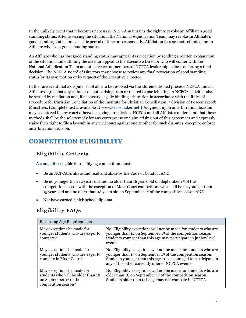In the unlikely event that it becomes necessary, NCFCA maintains the right to revoke an Affiliate's good standing status. After assessing the situation, the National Adjudication Team may revoke an Affiliate's good standing status for a specific period of time or permanently. Affiliation fees are not refunded for an Affiliate who loses good standing status.

An Affiliate who has lost good standing status may appeal its revocation by sending a written explanation of the situation and outlining the case for appeal to the Executive Director who will confer with the National Adjudication Team and other relevant members of NCFCA leadership before rendering a final decision. The NCFCA Board of Directors may choose to review any final revocation of good standing status by its own motion or by request of the Executive Director.

In the rare event that a dispute is not able to be resolved via the aforementioned process, NCFCA and all Affiliates agree that any claim or dispute arising from or related to participating in NCFCA activities shall be settled by mediation and, if necessary, legally binding arbitration in accordance with the Rules of Procedure for Christian Conciliation of the Institute for Christian Conciliation, a division of Peacemaker® Ministries. (Complete text is available at [www.Peacemaker.net.](http://www.peacemaker.net/)) Judgment upon an arbitration decision may be entered in any court otherwise having jurisdiction. NCFCA and all Affiliates understand that these methods shall be the sole remedy for any controversy or claim arising out of this agreement and expressly waive their right to file a lawsuit in any civil court against one another for such disputes, except to enforce an arbitration decision.

# <span id="page-8-0"></span>**COMPETITION ELIGIBILITY**

## <span id="page-8-1"></span>**Eligibility Criteria**

A [competitor](https://www.ncfca.org/join/affiliation-benefits/competition-eligibility/) eligible for qualifying competition must:

- Be an NCFCA Affiliate and read and abide by the Code of Conduct AND
- Be no younger than 12 years old and no older than 18 years old on September  $1^{st}$  of the competition season with the exception of Moot Court competitors who shall be no younger than 15 years old and no older than 18 years old on September 1st of the competitive season AND
- Not have earned a high school diploma.

## <span id="page-8-2"></span>**Eligibility FAQs**

| <b>Regarding Age Requirements</b>                                                                                  |                                                                                                                                                                                                                                                        |  |
|--------------------------------------------------------------------------------------------------------------------|--------------------------------------------------------------------------------------------------------------------------------------------------------------------------------------------------------------------------------------------------------|--|
| May exceptions be made for<br>younger students who are eager to<br>compete?                                        | No. Eligibility exceptions will not be made for students who are<br>younger than 12 on September 1st of the competition season.<br>Students younger than this age may participate in junior-level<br>events.                                           |  |
| May exceptions be made for<br>younger students who are eager to<br>compete in Moot Court?                          | No. Eligibility exceptions will not be made for students who are<br>younger than 15 on September 1st of the competition season.<br>Students younger than this age are encouraged to participate in<br>any of the other currently offered NCFCA events. |  |
| May exceptions be made for<br>students who will be older than 18<br>on September 1st of the<br>competition season? | No. Eligibility exceptions will not be made for students who are<br>older than 18 on September 1 <sup>st</sup> of the competition season.<br>Students older than this age may not compete in NCFCA.                                                    |  |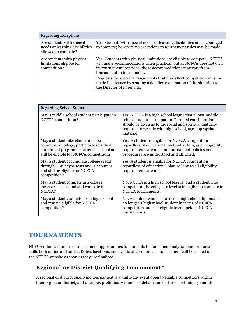| <b>Regarding Exceptions</b>                                                        |                                                                                                                                                                                                                                           |
|------------------------------------------------------------------------------------|-------------------------------------------------------------------------------------------------------------------------------------------------------------------------------------------------------------------------------------------|
| Are students with special<br>needs or learning disabilities<br>allowed to compete? | Yes. Students with special needs or learning disabilities are encouraged<br>to compete; however, no exceptions to tournament rules may be made.                                                                                           |
| Are students with physical<br>limitations eligible for<br>competition?             | Yes. Students with physical limitations are eligible to compete. NCFCA<br>will make accommodations when practical, but as NCFCA does not own<br>its tournament locations, those accommodations may vary from<br>tournament to tournament. |
|                                                                                    | Requests for special arrangements that may affect competition must be<br>made in advance by sending a detailed explanation of the situation to<br>the Director of Forensics.                                                              |

| <b>Regarding School Status</b>                                                                                                                                              |                                                                                                                                                                                                                                                |  |  |
|-----------------------------------------------------------------------------------------------------------------------------------------------------------------------------|------------------------------------------------------------------------------------------------------------------------------------------------------------------------------------------------------------------------------------------------|--|--|
| May a middle school student participate in<br>NCFCA competition?                                                                                                            | Yes. NCFCA is a high school league that allows middle<br>school student participation. Parental consideration<br>should be given as to the social and spiritual maturity<br>required to wrestle with high school, age-appropriate<br>material. |  |  |
| May a student take classes at a local<br>community college, participate in a dual<br>enrollment program, or attend a school and<br>still be eligible for NCFCA competition? | Yes. A student is eligible for NCFCA competition<br>regardless of educational method so long as all eligibility<br>requirements are met and tournament policies and<br>procedures are understood and affirmed.                                 |  |  |
| May a student accumulate college credit<br>through CLEP-type tests and AP courses<br>and still be eligible for NCFCA<br>competition?                                        | Yes. A student is eligible for NCFCA competition<br>regardless of educational plan so long as all eligibility<br>requirements are met.                                                                                                         |  |  |
| May a student compete in a college<br>forensics league and still compete in<br>NCFCA?                                                                                       | No. NCFCA is a high school league, and a student who<br>competes at the collegiate level is ineligible to compete in<br>NCFCA tournaments.                                                                                                     |  |  |
| May a student graduate from high school<br>and remain eligible for NCFCA<br>competition?                                                                                    | No. A student who has earned a high school diploma is<br>no longer a high school student in terms of NCFCA<br>competition and is ineligible to compete in NCFCA<br>tournaments.                                                                |  |  |

## <span id="page-9-0"></span>**TOURNAMENTS**

NCFCA offers a number of tournament opportunities for students to hone their analytical and oratorical skills both online and onsite. Dates, locations, and events offered for each tournament will be posted on the NCFCA website as soon as they are finalized.

## <span id="page-9-1"></span>**Regional or District Qualifying Tournament\***

A regional or district qualifying tournament is a multi-day event open to eligible competitors within their region or district, and offers six preliminary rounds of debate and/or three preliminary rounds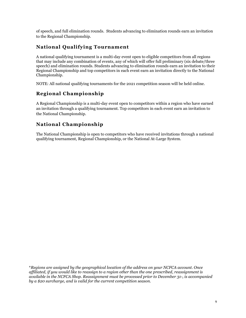of speech, and full elimination rounds. Students advancing to elimination rounds earn an invitation to the Regional Championship.

## <span id="page-10-0"></span>**National Qualifying Tournament**

A national qualifying tournament is a multi-day event open to eligible competitors from all regions that may include any combination of events, any of which will offer full preliminary (six debate/three speech) and elimination rounds. Students advancing to elimination rounds earn an invitation to their Regional Championship and top competitors in each event earn an invitation directly to the National Championship.

NOTE: All national qualifying tournaments for the 2021 competition season will be held online.

## <span id="page-10-1"></span>**Regional Championship**

A Regional Championship is a multi-day event open to competitors within a region who have earned an invitation through a qualifying tournament. Top competitors in each event earn an invitation to the National Championship.

## <span id="page-10-2"></span>**National Championship**

The National Championship is open to competitors who have received invitations through a national qualifying tournament, Regional Championship, or the National At-Large System.

\**Regions are assigned by the geographical location of the address on your NCFCA account. Once affiliated, if you would like to reassign to a region other than the one prescribed, reassignment is available in the NCFCA Shop. Reassignment must be processed prior to December 31st, is accompanied by a \$20 surcharge, and is valid for the current competition season.*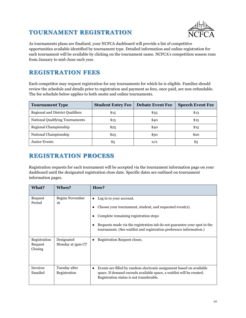## <span id="page-11-0"></span>**TOURNAMENT REGISTRATION**



As tournaments plans are finalized, your NCFCA dashboard will provide a list of competitive opportunities available identified by tournament type. Detailed information and online registration for each tournament will be available by clicking on the tournament name. NCFCA's competition season runs from January to mid-June each year.

## <span id="page-11-1"></span>**REGISTRATION FEES**

Each competitor may request registration for any tournaments for which he is eligible. Families should review the schedule and details prior to registration and payment as fees, once paid, are non-refundable. The fee schedule below applies to both onsite and online tournaments.

| <b>Tournament Type</b>                  | <b>Student Entry Fee</b> | <b>Debate Event Fee</b> | <b>Speech Event Fee</b> |
|-----------------------------------------|--------------------------|-------------------------|-------------------------|
| <b>Regional and District Qualifiers</b> | \$15                     | \$35                    | \$13                    |
| National Qualifying Tournaments         | \$15                     | \$40                    | \$15                    |
| Regional Championship                   | \$25                     | \$40                    | \$15                    |
| National Championship                   | \$25                     | \$50                    | \$20                    |
| Junior Events                           | \$5                      | n/a                     | \$5                     |

# <span id="page-11-2"></span>**REGISTRATION PROCESS**

Registration requests for each tournament will be accepted via the tournament information page on your dashboard until the designated registration close date. Specific dates are outlined on tournament information pages.

| What?                              | When?                          | How?                                                                                                                                                                                                                                                                                         |
|------------------------------------|--------------------------------|----------------------------------------------------------------------------------------------------------------------------------------------------------------------------------------------------------------------------------------------------------------------------------------------|
| Request<br>Period                  | <b>Begins November</b><br>16   | Log in to your account.<br>$\bullet$<br>Choose your tournament, student, and requested event(s).<br>Complete remaining registration steps<br>Requests made via the registration tab do not guarantee your spot in the<br>tournament. (See waitlist and registration preference information.) |
| Registration<br>Request<br>Closing | Designated<br>Monday at 5pm CT | Registration Request closes.                                                                                                                                                                                                                                                                 |
| Invoices<br>Emailed                | Tuesday after<br>Registration  | Events are filled by random electronic assignment based on available<br>$\bullet$<br>space. If demand exceeds available space, a waitlist will be created.<br>Registration status is not transferable.                                                                                       |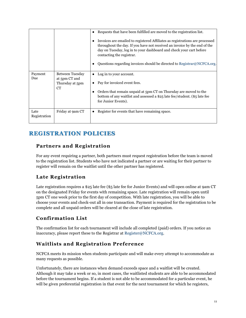|                      |                                  | Requests that have been fulfilled are moved to the registration list.<br>٠<br>Invoices are emailed to registered Affiliates as registrations are processed<br>٠               |
|----------------------|----------------------------------|-------------------------------------------------------------------------------------------------------------------------------------------------------------------------------|
|                      |                                  | throughout the day. If you have not received an invoice by the end of the<br>day on Tuesday, log in to your dashboard and check your cart before<br>contacting the registrar. |
|                      |                                  | Questions regarding invoices should be directed to $\text{Registrar@NCFCA.org}$ .                                                                                             |
| Payment<br>Due       | Between Tuesday<br>at 5pm CT and | Log in to your account.<br>$\bullet$                                                                                                                                          |
|                      | Thursday at 5pm<br><b>CT</b>     | Pay for invoiced event fees.                                                                                                                                                  |
|                      |                                  | Orders that remain unpaid at 5pm CT on Thursday are moved to the<br>bottom of any waitlist and assessed a \$25 late fee/student. (\$5 late fee<br>for Junior Events).         |
| Late<br>Registration | Friday at 9am CT                 | Register for events that have remaining space.<br>$\bullet$                                                                                                                   |

# <span id="page-12-0"></span>**REGISTRATION POLICIES**

## <span id="page-12-1"></span>**Partners and Registration**

For any event requiring a partner, both partners must request registration before the team is moved to the registration list. Students who have not indicated a partner or are waiting for their partner to register will remain on the waitlist until the other partner has registered.

## <span id="page-12-2"></span>**Late Registration**

Late registration requires a \$25 late fee (\$5 late fee for Junior Events) and will open online at 9am CT on the designated Friday for events with remaining space. Late registration will remain open until 5pm CT one week prior to the first day of competition. With late registration, you will be able to choose your events and check-out all in one transaction. Payment is required for the registration to be complete and all unpaid orders will be cleared at the close of late registration.

## <span id="page-12-3"></span>**Confirmation List**

The confirmation list for each tournament will include all completed (paid) orders. If you notice an inaccuracy, please report these to the Registrar at [Register@NCFCA.org.](mailto:Register@NCFCA.org)

## <span id="page-12-4"></span>**Waitlists and Registration Preference**

NCFCA meets its mission when students participate and will make every attempt to accommodate as many requests as possible.

Unfortunately, there are instances when demand exceeds space and a waitlist will be created. Although it may take a week or so, in most cases, the waitlisted students are able to be accommodated before the tournament begins. If a student is not able to be accommodated for a particular event, he will be given preferential registration in that event for the next tournament for which he registers,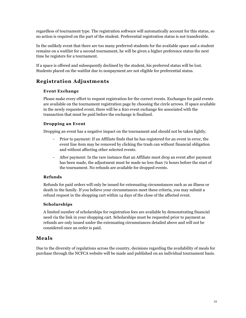regardless of tournament type. The registration software will automatically account for this status, so no action is required on the part of the student. Preferential registration status is not transferable.

In the unlikely event that there are too many preferred students for the available space and a student remains on a waitlist for a second tournament, he will be given a higher preference status the next time he registers for a tournament.

If a space is offered and subsequently declined by the student, his preferred status will be lost. Students placed on the waitlist due to nonpayment are not eligible for preferential status.

#### <span id="page-13-0"></span>**Registration Adjustments**

#### **Event Exchange**

Please make every effort to request registration for the correct events. Exchanges for paid events are available on the tournament registration page by choosing the circle arrows. If space available in the newly requested event, there will be a \$20 event exchange fee associated with the transaction that must be paid before the exchange is finalized.

#### **Dropping an Event**

Dropping an event has a negative impact on the tournament and should not be taken lightly.

- Prior to payment: If an Affiliate finds that he has registered for an event in error, the event line item may be removed by clicking the trash can without financial obligation and without affecting other selected events.
- After payment: In the rare instance that an Affiliate must drop an event after payment has been made, the adjustment must be made no less than 72 hours before the start of the tournament. No refunds are available for dropped events.

#### **Refunds**

Refunds for paid orders will only be issued for extenuating circumstances such as an illness or death in the family. If you believe your circumstances meet these criteria, you may submit a refund request in the shopping cart within 14 days of the close of the affected event.

#### **Scholarships**

A limited number of scholarships for registration fees are available by demonstrating financial need via the link in your shopping cart. Scholarships must be requested prior to payment as refunds are only issued under the extenuating circumstances detailed above and will not be considered once an order is paid.

#### <span id="page-13-1"></span>**Meals**

Due to the diversity of regulations across the country, decisions regarding the availability of meals for purchase through the NCFCA website will be made and published on an individual tournament basis.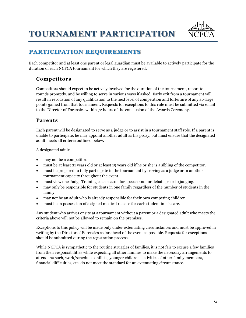

# <span id="page-14-1"></span><span id="page-14-0"></span>**PARTICIPATION REQUIREMENTS**

Each competitor and at least one parent or legal guardian must be available to actively participate for the duration of each NCFCA tournament for which they are registered.

#### <span id="page-14-2"></span>**Competitors**

Competitors should expect to be actively involved for the duration of the tournament, report to rounds promptly, and be willing to serve in various ways if asked. Early exit from a tournament will result in revocation of any qualification to the next level of competition and forfeiture of any at-large points gained from that tournament. Requests for exceptions to this rule must be submitted via email to the Director of Forensics within 72 hours of the conclusion of the Awards Ceremony.

## <span id="page-14-3"></span>**Parents**

Each parent will be designated to serve as a judge or to assist in a tournament staff role. If a parent is unable to participate, he may appoint another adult as his proxy, but must ensure that the designated adult meets all criteria outlined below.

A designated adult:

- may not be a competitor.
- must be at least 21 years old or at least 19 years old if he or she is a sibling of the competitor.
- must be prepared to fully participate in the tournament by serving as a judge or in another tournament capacity throughout the event.
- must view one Judge Training each season for speech and for debate prior to judging.
- may only be responsible for students in one family regardless of the number of students in the family.
- may not be an adult who is already responsible for their own competing children.
- must be in possession of a signed medical release for each student in his care.

Any student who arrives onsite at a tournament without a parent or a designated adult who meets the criteria above will not be allowed to remain on the premises.

Exceptions to this policy will be made only under extenuating circumstances and must be approved in writing by the Director of Forensics as far ahead of the event as possible. Requests for exceptions should be submitted during the registration process.

While NCFCA is sympathetic to the routine struggles of families, it is not fair to excuse a few families from their responsibilities while expecting all other families to make the necessary arrangements to attend. As such, work/schedule conflicts, younger children, activities of other family members, financial difficulties, etc. do not meet the standard for an extenuating circumstance.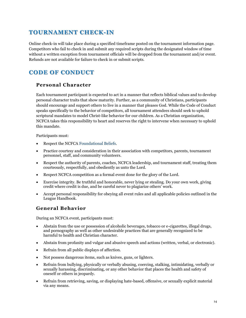## <span id="page-15-0"></span>**TOURNAMENT CHECK-IN**

Online check-in will take place during a specified timeframe posted on the tournament information page. Competitors who fail to check in and submit any required scripts during the designated window of time without a written exception from tournament officials will be dropped from the tournament and/or event. Refunds are not available for failure to check in or submit scripts.

# <span id="page-15-1"></span>**CODE OF CONDUCT**

#### <span id="page-15-2"></span>**Personal Character**

Each tournament participant is expected to act in a manner that reflects biblical values and to develop personal character traits that show maturity. Further, as a community of Christians, participants should encourage and support others to live in a manner that pleases God. While the Code of Conduct speaks specifically to the behavior of competitors, all tournament attendees should seek to uphold scriptural mandates to model Christ-like behavior for our children. As a Christian organization, NCFCA takes this responsibility to heart and reserves the right to intervene when necessary to uphold this mandate.

Participants must:

- Respect the NCFCA [Foundational Beliefs.](https://www.ncfca.org/about/foundational-beliefs/)
- Practice courtesy and consideration in their association with competitors, parents, tournament personnel, staff, and community volunteers.
- Respect the authority of parents, coaches, NCFCA leadership, and tournament staff, treating them courteously, respectfully, and obediently as unto the Lord.
- Respect NCFCA competition as a formal event done for the glory of the Lord.
- Exercise integrity. Be truthful and honorable, never lying or stealing. Do your own work, giving credit where credit is due, and be careful never to plagiarize others' work.
- Accept personal responsibility for obeying all event rules and all applicable policies outlined in the League Handbook.

#### <span id="page-15-3"></span>**General Behavior**

During an NCFCA event, participants must:

- Abstain from the use or possession of alcoholic beverages, tobacco or e-cigarettes, illegal drugs, and pornography as well as other undesirable practices that are generally recognized to be harmful to health and Christian character.
- Abstain from profanity and vulgar and abusive speech and actions (written, verbal, or electronic).
- Refrain from all public displays of affection.
- Not possess dangerous items, such as knives, guns, or lighters.
- Refrain from bullying, physically or verbally abusing, coercing, stalking, intimidating, verbally or sexually harassing, discriminating, or any other behavior that places the health and safety of oneself or others in jeopardy.
- Refrain from retrieving, saving, or displaying hate-based, offensive, or sexually explicit material via any means.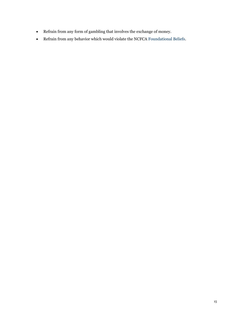- Refrain from any form of gambling that involves the exchange of money.
- Refrain from any behavior which would violate the NCFCA [Foundational Beliefs.](https://www.ncfca.org/about/foundational-beliefs/)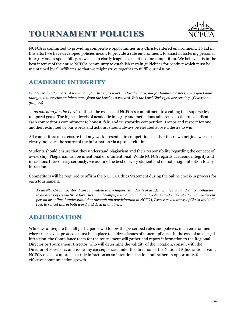# <span id="page-17-0"></span>**TOURNAMENT POLICIES**



NCFCA is committed to providing competitive opportunities in a Christ-centered environment. To aid in this effort we have developed policies meant to provide a safe environment, to assist in fostering personal integrity and responsibility, as well as to clarify league expectations for competition. We believe it is in the best interest of the entire NCFCA community to establish certain guidelines for conduct which must be maintained by all Affiliates so that we might strive together to fulfill our mission.

# <span id="page-17-1"></span>**ACADEMIC INTEGRITY**

*Whatever you do, work at it with all your heart, as working for the Lord, not for human masters, since you know that you will receive an inheritance from the Lord as a reward. It is the Lord Christ you are serving. (Colossians 3:23-24)*

"*…as working for the Lord*" outlines the essence of NCFCA's commitment to a calling that supersedes temporal goals. The highest levels of academic integrity and meticulous adherence to the rules indicate each competitor's commitment to honest, fair, and trustworthy competition. Honor and respect for one another, exhibited by our words and actions, should always be elevated above a desire to win.

All competitors must ensure that any work presented in competition is either their own original work or clearly indicates the source of the information via a proper citation.

Students should ensure that they understand plagiarism and their responsibility regarding the concept of ownership. Plagiarism can be intentional or unintentional. While NCFCA regards academic integrity and infractions thereof very seriously, we assume the best of every student and do not assign intention to any infraction.

Competitors will be required to affirm the NCFCA Ethics Statement during the online check-in process for each tournament.

*As an NCFCA competitor, I am committed to the highest standards of academic integrity and ethical behavior in all areas of competitive forensics. I will comply with all tournament policies and rules whether competing in person or online. I understand that through my participation in NCFCA, I serve as a witness of Christ and will seek to reflect this in both word and deed at all times.*

# <span id="page-17-2"></span>**ADJUDICATION**

While we anticipate that all participants will follow the prescribed rules and policies, in an environment where rules exist, protocols must be in place to address issues of noncompliance. In the case of an alleged infraction, the Compliance team for the tournament will gather and report information to the Regional Director or Tournament Director, who will determine the validity of the violation, consult with the Director of Forensics, and issue any consequences under the direction of the National Adjudication Team. NCFCA does not approach a rule infraction as an intentional action, but rather an opportunity for effective communication growth.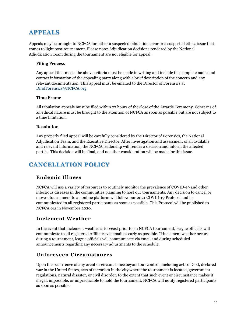## <span id="page-18-0"></span>**APPEALS**

Appeals may be brought to NCFCA for either a suspected tabulation error or a suspected ethics issue that comes to light post-tournament. Please note: Adjudication decisions rendered by the National Adjudication Team during the tournament are not eligible for appeal.

#### **Filing Process**

Any appeal that meets the above criteria must be made in writing and include the complete name and contact information of the appealing party along with a brief description of the concern and any relevant documentation. This appeal must be emailed to the Director of Forensics at [DirofForensics@NCFCA.org.](mailto:DirofForensics@NCFCA.org)

#### **Time Frame**

All tabulation appeals must be filed within 72 hours of the close of the Awards Ceremony. Concerns of an ethical nature must be brought to the attention of NCFCA as soon as possible but are not subject to a time limitation.

#### **Resolution**

Any properly filed appeal will be carefully considered by the Director of Forensics, the National Adjudication Team, and the Executive Director. After investigation and assessment of all available and relevant information, the NCFCA leadership will render a decision and inform the affected parties. This decision will be final, and no other consideration will be made for this issue.

## <span id="page-18-1"></span>**CANCELLATION POLICY**

#### <span id="page-18-2"></span>**Endemic Illness**

NCFCA will use a variety of resources to routinely monitor the prevalence of COVID-19 and other infectious diseases in the communities planning to host our tournaments. Any decision to cancel or move a tournament to an online platform will follow our 2021 COVID-19 Protocol and be communicated to all registered participants as soon as possible. This Protocol will be published to NCFCA.org in November 2020.

#### <span id="page-18-3"></span>**Inclement Weather**

In the event that inclement weather is forecast prior to an NCFCA tournament, league officials will communicate to all registered Affiliates via email as early as possible. If inclement weather occurs during a tournament, league officials will communicate via email and during scheduled announcements regarding any necessary adjustments to the schedule.

#### <span id="page-18-4"></span>**Unforeseen Circumstances**

Upon the occurrence of any event or circumstance beyond our control, including acts of God, declared war in the United States, acts of terrorism in the city where the tournament is located, government regulations, natural disaster, or civil disorder, to the extent that such event or circumstance makes it illegal, impossible, or impracticable to hold the tournament, NCFCA will notify registered participants as soon as possible.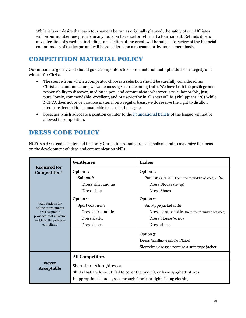While it is our desire that each tournament be run as originally planned, the safety of our Affiliates will be our number one priority in any decision to cancel or reformat a tournament. Refunds due to any alteration of schedule, including cancellation of the event, will be subject to review of the financial commitments of the league and will be considered on a tournament-by-tournament basis.

# <span id="page-19-0"></span>**COMPETITION MATERIAL POLICY**

Our mission to glorify God should guide competitors to choose material that upholds their integrity and witness for Christ.

- The source from which a competitor chooses a selection should be carefully considered. As Christian communicators, we value messages of redeeming truth. We have both the privilege and responsibility to discover, meditate upon, and communicate whatever is true, honorable, just, pure, lovely, commendable, excellent, and praiseworthy in all areas of life. (Philippians 4:8) While NCFCA does not review source material on a regular basis, we do reserve the right to disallow literature deemed to be unsuitable for use in the league.
- Speeches which advocate a position counter to the Foundational Beliefs of the league will not be allowed in competition.

# <span id="page-19-1"></span>**DRESS CODE POLICY**

NCFCA's dress code is intended to glorify Christ, to promote professionalism, and to maximize the focus on the development of ideas and communication skills.

|                                                      | Gentlemen                                                                    | <b>Ladies</b>                                       |  |
|------------------------------------------------------|------------------------------------------------------------------------------|-----------------------------------------------------|--|
| <b>Required for</b><br>Competition*                  | Option 1:                                                                    | Option 1:                                           |  |
|                                                      | Suit <i>with</i>                                                             | Pant or skirt suit (hemline to middle of knee) with |  |
|                                                      | Dress shirt and tie                                                          | Dress Blouse (or top)                               |  |
|                                                      | Dress shoes                                                                  | Dress Shoes                                         |  |
|                                                      | Option 2:                                                                    | Option 2:                                           |  |
| *Adaptations for<br>online tournaments               | Sport coat with                                                              | Suit-type jacket with                               |  |
| are acceptable                                       | Dress shirt and tie                                                          | Dress pants or skirt (hemline to middle off knee)   |  |
| provided that all attire<br>visible to the judges is | Dress slacks                                                                 | Dress blouse (or top)                               |  |
| compliant.                                           | Dress shoes                                                                  | Dress shoes                                         |  |
|                                                      |                                                                              | Option 3:                                           |  |
|                                                      |                                                                              | Dress (hemline to middle of knee)                   |  |
|                                                      |                                                                              | Sleeveless dresses require a suit-type jacket       |  |
|                                                      | <b>All Competitors</b>                                                       |                                                     |  |
| <b>Never</b><br>Acceptable                           | Short shorts/skirts/dresses                                                  |                                                     |  |
|                                                      | Shirts that are low-cut, fail to cover the midriff, or have spaghetti straps |                                                     |  |
|                                                      | Inappropriate content, see-through fabric, or tight-fitting clothing         |                                                     |  |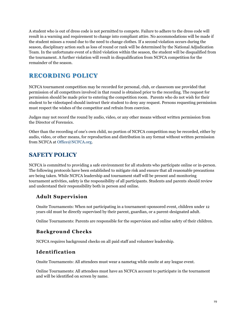A student who is out of dress code is not permitted to compete. Failure to adhere to the dress code will result in a warning and requirement to change into compliant attire. No accommodations will be made if the student misses a round due to the need to change clothes. If a second violation occurs during the season, disciplinary action such as loss of round or rank will be determined by the National Adjudication Team. In the unfortunate event of a third violation within the season, the student will be disqualified from the tournament. A further violation will result in disqualification from NCFCA competition for the remainder of the season.

## <span id="page-20-0"></span>**RECORDING POLICY**

NCFCA tournament competition may be recorded for personal, club, or classroom use provided that permission of all competitors involved in that round is obtained prior to the recording. The request for permission should be made prior to entering the competition room. Parents who do not wish for their student to be videotaped should instruct their student to deny any request. Persons requesting permission must respect the wishes of the competitor and refrain from coercion.

Judges may not record the round by audio, video, or any other means without written permission from the Director of Forensics.

Other than the recording of one's own child, no portion of NCFCA competition may be recorded, either by audio, video, or other means, for reproduction and distribution in any format without written permission from NCFCA at [Office@NCFCA.org.](mailto:Office@NCFCA.org)

## <span id="page-20-1"></span>**SAFETY POLICY**

NCFCA is committed to providing a safe environment for all students who participate online or in-person. The following protocols have been established to mitigate risk and ensure that all reasonable precautions are being taken. While NCFCA leadership and tournament staff will be present and monitoring tournament activities, safety is the responsibility of all participants. Students and parents should review and understand their responsibility both in person and online.

## <span id="page-20-2"></span>**Adult Supervision**

Onsite Tournaments: When not participating in a tournament-sponsored event, children under 12 years old must be directly supervised by their parent, guardian, or a parent-designated adult.

Online Tournaments: Parents are responsible for the supervision and online safety of their children.

## <span id="page-20-3"></span>**Background Checks**

NCFCA requires background checks on all paid staff and volunteer leadership.

## <span id="page-20-4"></span>**Identification**

Onsite Tournaments: All attendees must wear a nametag while onsite at any league event.

Online Tournaments: All attendees must have an NCFCA account to participate in the tournament and will be identified on screen by name.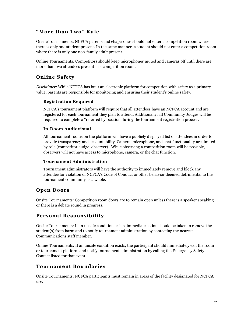#### <span id="page-21-0"></span>**"More than Two" Rule**

Onsite Tournaments: NCFCA parents and chaperones should not enter a competition room where there is only one student present. In the same manner, a student should not enter a competition room where there is only one non-family adult present.

Online Tournaments: Competitors should keep microphones muted and cameras off until there are more than two attendees present in a competition room.

## <span id="page-21-1"></span>**Online Safety**

*Disclaimer*: While NCFCA has built an electronic platform for competition with safety as a primary value, parents are responsible for monitoring and ensuring their student's online safety.

#### **Registration Required**

NCFCA's tournament platform will require that all attendees have an NCFCA account and are registered for each tournament they plan to attend. Additionally, all Community Judges will be required to complete a "referred by" section during the tournament registration process.

#### **In-Room Audiovisual**

All tournament rooms on the platform will have a publicly displayed list of attendees in order to provide transparency and accountability. Camera, microphone, and chat functionality are limited by role (competitor, judge, observer). While observing a competition room will be possible, observers will not have access to microphone, camera, or the chat function.

#### **Tournament Administration**

Tournament administrators will have the authority to immediately remove and block any attendee for violation of NCFCA's Code of Conduct or other behavior deemed detrimental to the tournament community as a whole.

## <span id="page-21-2"></span>**Open Doors**

Onsite Tournaments: Competition room doors are to remain open unless there is a speaker speaking or there is a debate round in progress.

## <span id="page-21-3"></span>**Personal Responsibility**

Onsite Tournaments: If an unsafe condition exists, immediate action should be taken to remove the student(s) from harm and to notify tournament administration by contacting the nearest Communications staff member.

Online Tournaments: If an unsafe condition exists, the participant should immediately exit the room or tournament platform and notify tournament administration by calling the Emergency Safety Contact listed for that event.

#### <span id="page-21-4"></span>**Tournament Boundaries**

Onsite Tournaments: NCFCA participants must remain in areas of the facility designated for NCFCA use.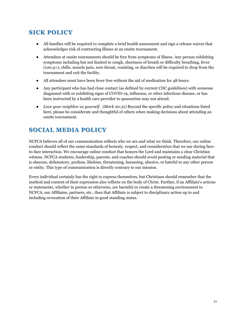## <span id="page-22-0"></span>**SICK POLICY**

- All families will be required to complete a brief health assessment and sign a release waiver that acknowledges risk of contracting illness at an onsite tournament.
- Attendees at onsite tournaments should be free from symptoms of illness. Any person exhibiting symptoms including but not limited to cough, shortness of breath or difficulty breathing, fever (100.4+), chills, muscle pain, sore throat, vomiting, or diarrhea will be required to drop from the tournament and exit the facility.
- All attendees must have been fever free without the aid of medication for 48 hours.
- Any participant who has had close contact (as defined by current CDC guidelines) with someone diagnosed with or exhibiting signs of COVID-19, influenza, or other infectious disease, or has been instructed by a health care provider to quarantine may not attend.
- *Love your neighbor as yourself*. *(Mark 20:31)* Beyond the specific policy and situations listed here, please be considerate and thoughtful of others when making decisions about attending an onsite tournament.

# <span id="page-22-1"></span>**SOCIAL MEDIA POLICY**

NCFCA believes all of our communication reflects who we are and what we think. Therefore, our online conduct should reflect the same standards of honesty, respect, and consideration that we use during faceto-face interaction. We encourage online conduct that honors the Lord and maintains a clear Christian witness. NCFCA students, leadership, parents, and coaches should avoid posting or sending material that is obscene, defamatory, profane, libelous, threatening, harassing, abusive, or hateful to any other person or entity. This type of communication is directly contrary to our mission.

Every individual certainly has the right to express themselves, but Christians should remember that the method and content of their expression also reflects on the body of Christ. Further, if an Affiliate's actions or statements, whether in person or otherwise, are harmful or create a threatening environment to NCFCA, our Affiliates, partners, etc., then that Affiliate is subject to disciplinary action up to and including revocation of their Affiliate in good standing status.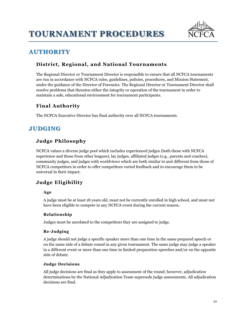

# <span id="page-23-1"></span><span id="page-23-0"></span>**AUTHORITY**

## <span id="page-23-2"></span>**District, Regional, and National Tournaments**

The Regional Director or Tournament Director is responsible to ensure that all NCFCA tournaments are run in accordance with NCFCA rules, guidelines, policies, procedures, and Mission Statement, under the guidance of the Director of Forensics. The Regional Director or Tournament Director shall resolve problems that threaten either the integrity or operation of the tournament in order to maintain a safe, educational environment for tournament participants.

## <span id="page-23-3"></span>**Final Authority**

The NCFCA Executive Director has final authority over all NCFCA tournaments.

# <span id="page-23-4"></span>**JUDGING**

## <span id="page-23-5"></span>**Judge Philosophy**

NCFCA values a diverse judge pool which includes experienced judges (both those with NCFCA experience and those from other leagues), lay judges, affiliated judges (e.g., parents and coaches), community judges, and judges with worldviews which are both similar to and different from those of NCFCA competitors in order to offer competitors varied feedback and to encourage them to be universal in their impact.

## <span id="page-23-6"></span>**Judge Eligibility**

#### **Age**

A judge must be at least 18 years old, must not be currently enrolled in high school, and must not have been eligible to compete in any NCFCA event during the current season.

#### **Relationship**

Judges must be unrelated to the competitors they are assigned to judge.

#### **Re-Judging**

A judge should not judge a specific speaker more than one time in the same prepared speech or on the same side of a debate round in any given tournament. The same judge may judge a speaker in a different event or more than one time in limited preparation speeches and/or on the opposite side of debate.

#### **Judge Decisions**

All judge decisions are final as they apply to assessment of the round; however, adjudication determinations by the National Adjudication Team supersede judge assessments. All adjudication decisions are final.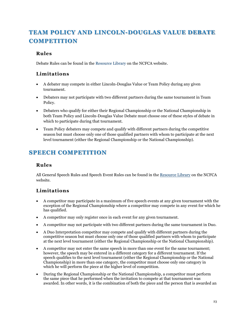# <span id="page-24-0"></span>**TEAM POLICY AND LINCOLN-DOUGLAS VALUE DEBATE COMPETITION**

#### <span id="page-24-1"></span>**Rules**

Debate Rules can be found in the [Resource Library](https://portal.ncfca.org/resource-library) on the NCFCA website.

#### <span id="page-24-2"></span>**Limitations**

- A debater may compete in either Lincoln-Douglas Value or Team Policy during any given tournament.
- Debaters may not participate with two different partners during the same tournament in Team Policy.
- Debaters who qualify for either their Regional Championship or the National Championship in both Team Policy and Lincoln-Douglas Value Debate must choose one of these styles of debate in which to participate during that tournament.
- Team Policy debaters may compete and qualify with different partners during the competitive season but must choose only one of those qualified partners with whom to participate at the next level tournament (either the Regional Championship or the National Championship).

## <span id="page-24-3"></span>**SPEECH COMPETITION**

## <span id="page-24-4"></span>**Rules**

All General Speech Rules and Speech Event Rules can be found in the [Resource Library](https://portal.ncfca.org/resource-library) on the NCFCA website.

## <span id="page-24-5"></span>**Limitations**

- A competitor may participate in a maximum of five speech events at any given tournament with the exception of the Regional Championship where a competitor may compete in any event for which he has qualified.
- A competitor may only register once in each event for any given tournament.
- A competitor may not participate with two different partners during the same tournament in Duo.
- A Duo Interpretation competitor may compete and qualify with different partners during the competitive season but must choose only one of those qualified partners with whom to participate at the next level tournament (either the Regional Championship or the National Championship).
- A competitor may not enter the same speech in more than one event for the same tournament; however, the speech may be entered in a different category for a different tournament. If the speech qualifies to the next level tournament (either the Regional Championship or the National Championship) in more than one category, the competitor must choose only one category in which he will perform the piece at the higher level of competition.
- During the Regional Championship or the National Championship, a competitor must perform the same piece that he performed when the invitation to compete at that tournament was awarded. In other words, it is the combination of both the piece and the person that is awarded an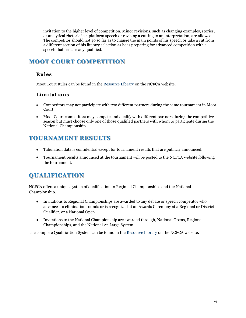invitation to the higher level of competition. Minor revisions, such as changing examples, stories, or analytical rhetoric in a platform speech or revising a cutting to an interpretation, are allowed. The competitor should not go so far as to change the main points of his speech or take a cut from a different section of his literary selection as he is preparing for advanced competition with a speech that has already qualified.

# <span id="page-25-0"></span>**MOOT COURT COMPETITION**

#### <span id="page-25-1"></span>**Rules**

Moot Court Rules can be found in th[e Resource Library](https://portal.ncfca.org/resource-library) on the NCFCA website.

#### <span id="page-25-2"></span>**Limitations**

- Competitors may not participate with two different partners during the same tournament in Moot Court.
- Moot Court competitors may compete and qualify with different partners during the competitive season but must choose only one of those qualified partners with whom to participate during the National Championship.

## <span id="page-25-3"></span>**TOURNAMENT RESULTS**

- Tabulation data is confidential except for tournament results that are publicly announced.
- Tournament results announced at the tournament will be posted to the NCFCA website following the tournament.

# <span id="page-25-4"></span>**QUALIFICATION**

NCFCA offers a unique system of qualification to Regional Championships and the National Championship.

- Invitations to Regional Championships are awarded to any debate or speech competitor who advances to elimination rounds or is recognized at an Awards Ceremony at a Regional or District Qualifier, or a National Open.
- Invitations to the National Championship are awarded through, National Opens, Regional Championships, and the National At-Large System.

The complete Qualification System can be found in the [Resource Library](https://portal.ncfca.org/resource-library) on the NCFCA website.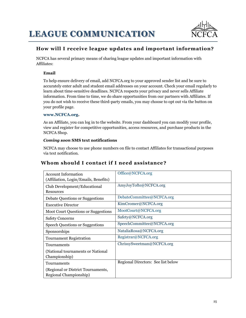# <span id="page-26-0"></span>**LEAGUE COMMUNICATION**



## **How will I receive league updates and important information?**

NCFCA has several primary means of sharing league updates and important information with Affiliates:

#### **Email**

To help ensure delivery of email, add NCFCA.org to your approved sender list and be sure to accurately enter adult and student email addresses on your account. Check your email regularly to learn about time-sensitive deadlines. NCFCA respects your privacy and never sells Affiliate information. From time to time, we do share opportunities from our partners with Affiliates. If you do not wish to receive these third-party emails, you may choose to opt out via the button on your profile page.

#### **[www.NCFCA.org.](http://www.ncfca.org/)**

As an Affiliate, you can log in to the website. From your dashboard you can modify your profile, view and register for competitive opportunities, access resources, and purchase products in the NCFCA Shop.

#### *Coming soon* **SMS text notifications**

NCFCA may choose to use phone numbers on file to contact Affiliates for transactional purposes via text notification.

## **Whom should I contact if I need assistance?**

| <b>Account Information</b><br>(Affiliation, Login/Emails, Benefits) | Office@NCFCA.org                   |
|---------------------------------------------------------------------|------------------------------------|
| Club Development/Educational<br>Resources                           | AmyJoyTofte@NCFCA.org              |
| Debate Questions or Suggestions                                     | DebateCommittee@NCFCA.org          |
| <b>Executive Director</b>                                           | KimCromer@NCFCA.org                |
| Moot Court Questions or Suggestions                                 | MootCourt@NCFCA.org                |
| <b>Safety Concerns</b>                                              | Safety@NCFCA.org                   |
| <b>Speech Questions or Suggestions</b>                              | SpeechCommittee@NCFCA.org          |
| Sponsorships                                                        | NataliaRosa@NCFCA.org              |
| <b>Tournament Registration</b>                                      | Registrar@NCFCA.org                |
| Tournaments                                                         | ChrissySweetman@NCFCA.org          |
| (National tournaments or National<br>Championship)                  |                                    |
| Tournaments                                                         | Regional Directors: See list below |
| (Regional or District Tournaments,<br>Regional Championship)        |                                    |